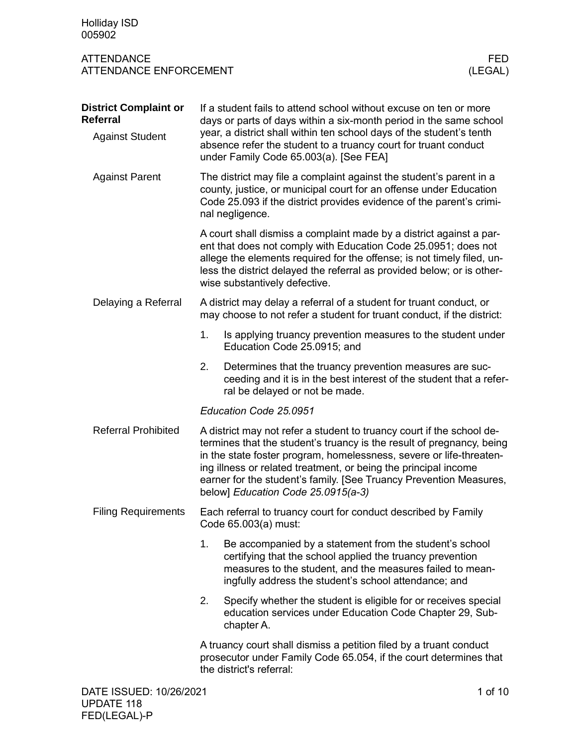| <b>Holliday ISD</b><br>005902                                      |                                                                                                                                                                                                                                                                                                                                                                                                      |                 |  |  |  |  |  |
|--------------------------------------------------------------------|------------------------------------------------------------------------------------------------------------------------------------------------------------------------------------------------------------------------------------------------------------------------------------------------------------------------------------------------------------------------------------------------------|-----------------|--|--|--|--|--|
| <b>ATTENDANCE</b><br><b>ATTENDANCE ENFORCEMENT</b>                 |                                                                                                                                                                                                                                                                                                                                                                                                      | FED.<br>(LEGAL) |  |  |  |  |  |
| <b>District Complaint or</b><br>Referral<br><b>Against Student</b> | If a student fails to attend school without excuse on ten or more<br>days or parts of days within a six-month period in the same school<br>year, a district shall within ten school days of the student's tenth<br>absence refer the student to a truancy court for truant conduct<br>under Family Code 65.003(a). [See FEA]                                                                         |                 |  |  |  |  |  |
| <b>Against Parent</b>                                              | The district may file a complaint against the student's parent in a<br>county, justice, or municipal court for an offense under Education<br>Code 25.093 if the district provides evidence of the parent's crimi-<br>nal negligence.                                                                                                                                                                 |                 |  |  |  |  |  |
|                                                                    | A court shall dismiss a complaint made by a district against a par-<br>ent that does not comply with Education Code 25.0951; does not<br>allege the elements required for the offense; is not timely filed, un-<br>less the district delayed the referral as provided below; or is other-<br>wise substantively defective.                                                                           |                 |  |  |  |  |  |
| Delaying a Referral                                                | A district may delay a referral of a student for truant conduct, or<br>may choose to not refer a student for truant conduct, if the district:                                                                                                                                                                                                                                                        |                 |  |  |  |  |  |
|                                                                    | 1.<br>Is applying truancy prevention measures to the student under<br>Education Code 25.0915; and                                                                                                                                                                                                                                                                                                    |                 |  |  |  |  |  |
|                                                                    | 2.<br>Determines that the truancy prevention measures are suc-<br>ceeding and it is in the best interest of the student that a refer-<br>ral be delayed or not be made.                                                                                                                                                                                                                              |                 |  |  |  |  |  |
|                                                                    | Education Code 25.0951                                                                                                                                                                                                                                                                                                                                                                               |                 |  |  |  |  |  |
| <b>Referral Prohibited</b>                                         | A district may not refer a student to truancy court if the school de-<br>termines that the student's truancy is the result of pregnancy, being<br>in the state foster program, homelessness, severe or life-threaten-<br>ing illness or related treatment, or being the principal income<br>earner for the student's family. [See Truancy Prevention Measures,<br>below] Education Code 25.0915(a-3) |                 |  |  |  |  |  |
| <b>Filing Requirements</b>                                         | Each referral to truancy court for conduct described by Family<br>Code 65.003(a) must:                                                                                                                                                                                                                                                                                                               |                 |  |  |  |  |  |
|                                                                    | 1.<br>Be accompanied by a statement from the student's school<br>certifying that the school applied the truancy prevention<br>measures to the student, and the measures failed to mean-<br>ingfully address the student's school attendance; and                                                                                                                                                     |                 |  |  |  |  |  |
|                                                                    | 2.<br>Specify whether the student is eligible for or receives special<br>education services under Education Code Chapter 29, Sub-<br>chapter A.                                                                                                                                                                                                                                                      |                 |  |  |  |  |  |
|                                                                    | A truancy court shall dismiss a petition filed by a truant conduct<br>prosecutor under Family Code 65.054, if the court determines that<br>the district's referral:                                                                                                                                                                                                                                  |                 |  |  |  |  |  |
| DATE ISSUED: 10/26/2021                                            |                                                                                                                                                                                                                                                                                                                                                                                                      | 1 of 10         |  |  |  |  |  |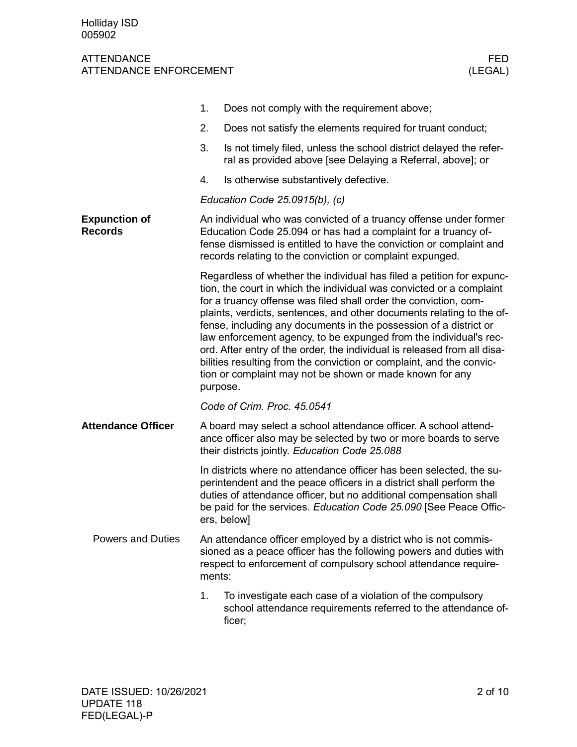|                                        | 1.                                                                                                                                                                                                                                                                                                                                                                                                                                                                                                                                                                                                                                                               | Does not comply with the requirement above;                                                                                                                                                                                                                                           |  |  |  |  |  |  |  |
|----------------------------------------|------------------------------------------------------------------------------------------------------------------------------------------------------------------------------------------------------------------------------------------------------------------------------------------------------------------------------------------------------------------------------------------------------------------------------------------------------------------------------------------------------------------------------------------------------------------------------------------------------------------------------------------------------------------|---------------------------------------------------------------------------------------------------------------------------------------------------------------------------------------------------------------------------------------------------------------------------------------|--|--|--|--|--|--|--|
|                                        | 2.                                                                                                                                                                                                                                                                                                                                                                                                                                                                                                                                                                                                                                                               | Does not satisfy the elements required for truant conduct;                                                                                                                                                                                                                            |  |  |  |  |  |  |  |
|                                        | 3.                                                                                                                                                                                                                                                                                                                                                                                                                                                                                                                                                                                                                                                               | Is not timely filed, unless the school district delayed the refer-<br>ral as provided above [see Delaying a Referral, above]; or                                                                                                                                                      |  |  |  |  |  |  |  |
|                                        | 4.                                                                                                                                                                                                                                                                                                                                                                                                                                                                                                                                                                                                                                                               | Is otherwise substantively defective.                                                                                                                                                                                                                                                 |  |  |  |  |  |  |  |
|                                        | Education Code $25.0915(b)$ , (c)                                                                                                                                                                                                                                                                                                                                                                                                                                                                                                                                                                                                                                |                                                                                                                                                                                                                                                                                       |  |  |  |  |  |  |  |
| <b>Expunction of</b><br><b>Records</b> | An individual who was convicted of a truancy offense under former<br>Education Code 25.094 or has had a complaint for a truancy of-<br>fense dismissed is entitled to have the conviction or complaint and<br>records relating to the conviction or complaint expunged.                                                                                                                                                                                                                                                                                                                                                                                          |                                                                                                                                                                                                                                                                                       |  |  |  |  |  |  |  |
|                                        | Regardless of whether the individual has filed a petition for expunc-<br>tion, the court in which the individual was convicted or a complaint<br>for a truancy offense was filed shall order the conviction, com-<br>plaints, verdicts, sentences, and other documents relating to the of-<br>fense, including any documents in the possession of a district or<br>law enforcement agency, to be expunged from the individual's rec-<br>ord. After entry of the order, the individual is released from all disa-<br>bilities resulting from the conviction or complaint, and the convic-<br>tion or complaint may not be shown or made known for any<br>purpose. |                                                                                                                                                                                                                                                                                       |  |  |  |  |  |  |  |
|                                        | Code of Crim. Proc. 45.0541                                                                                                                                                                                                                                                                                                                                                                                                                                                                                                                                                                                                                                      |                                                                                                                                                                                                                                                                                       |  |  |  |  |  |  |  |
| <b>Attendance Officer</b>              | A board may select a school attendance officer. A school attend-<br>ance officer also may be selected by two or more boards to serve<br>their districts jointly. Education Code 25.088                                                                                                                                                                                                                                                                                                                                                                                                                                                                           |                                                                                                                                                                                                                                                                                       |  |  |  |  |  |  |  |
|                                        | ers, below]                                                                                                                                                                                                                                                                                                                                                                                                                                                                                                                                                                                                                                                      | In districts where no attendance officer has been selected, the su-<br>perintendent and the peace officers in a district shall perform the<br>duties of attendance officer, but no additional compensation shall<br>be paid for the services. Education Code 25.090 [See Peace Offic- |  |  |  |  |  |  |  |
| <b>Powers and Duties</b>               | An attendance officer employed by a district who is not commis-<br>sioned as a peace officer has the following powers and duties with<br>respect to enforcement of compulsory school attendance require-<br>ments:                                                                                                                                                                                                                                                                                                                                                                                                                                               |                                                                                                                                                                                                                                                                                       |  |  |  |  |  |  |  |
|                                        | 1.<br>ficer;                                                                                                                                                                                                                                                                                                                                                                                                                                                                                                                                                                                                                                                     | To investigate each case of a violation of the compulsory<br>school attendance requirements referred to the attendance of-                                                                                                                                                            |  |  |  |  |  |  |  |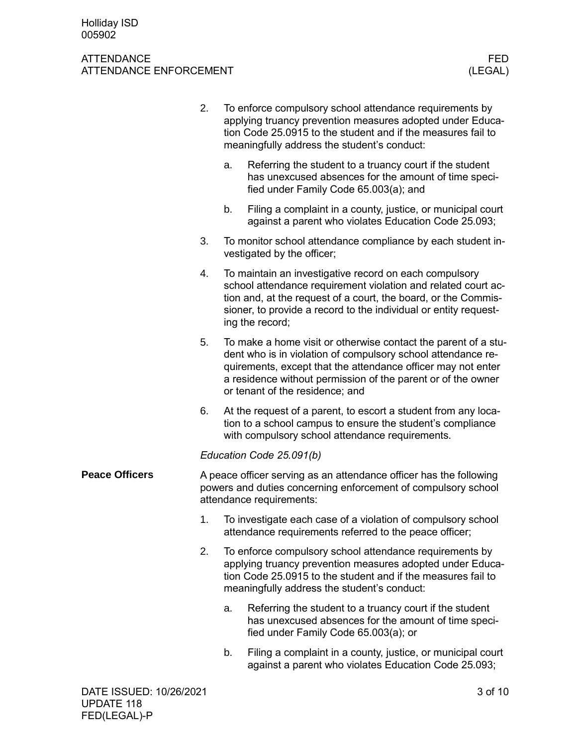|                       | 2.                                                                                                                                                              | To enforce compulsory school attendance requirements by<br>applying truancy prevention measures adopted under Educa-<br>tion Code 25.0915 to the student and if the measures fail to<br>meaningfully address the student's conduct:                                                               |                                                                                                                                                                                 |  |  |  |
|-----------------------|-----------------------------------------------------------------------------------------------------------------------------------------------------------------|---------------------------------------------------------------------------------------------------------------------------------------------------------------------------------------------------------------------------------------------------------------------------------------------------|---------------------------------------------------------------------------------------------------------------------------------------------------------------------------------|--|--|--|
|                       |                                                                                                                                                                 | a.                                                                                                                                                                                                                                                                                                | Referring the student to a truancy court if the student<br>has unexcused absences for the amount of time speci-<br>fied under Family Code 65.003(a); and                        |  |  |  |
|                       |                                                                                                                                                                 | b.                                                                                                                                                                                                                                                                                                | Filing a complaint in a county, justice, or municipal court<br>against a parent who violates Education Code 25.093;                                                             |  |  |  |
|                       | 3.                                                                                                                                                              |                                                                                                                                                                                                                                                                                                   | To monitor school attendance compliance by each student in-<br>vestigated by the officer;                                                                                       |  |  |  |
|                       | 4.                                                                                                                                                              | To maintain an investigative record on each compulsory<br>school attendance requirement violation and related court ac-<br>tion and, at the request of a court, the board, or the Commis-<br>sioner, to provide a record to the individual or entity request-<br>ing the record;                  |                                                                                                                                                                                 |  |  |  |
|                       | 5.                                                                                                                                                              | To make a home visit or otherwise contact the parent of a stu-<br>dent who is in violation of compulsory school attendance re-<br>quirements, except that the attendance officer may not enter<br>a residence without permission of the parent or of the owner<br>or tenant of the residence; and |                                                                                                                                                                                 |  |  |  |
|                       | 6.                                                                                                                                                              |                                                                                                                                                                                                                                                                                                   | At the request of a parent, to escort a student from any loca-<br>tion to a school campus to ensure the student's compliance<br>with compulsory school attendance requirements. |  |  |  |
|                       | Education Code 25.091(b)                                                                                                                                        |                                                                                                                                                                                                                                                                                                   |                                                                                                                                                                                 |  |  |  |
| <b>Peace Officers</b> | A peace officer serving as an attendance officer has the following<br>powers and duties concerning enforcement of compulsory school<br>attendance requirements: |                                                                                                                                                                                                                                                                                                   |                                                                                                                                                                                 |  |  |  |
|                       | 1.                                                                                                                                                              | To investigate each case of a violation of compulsory school<br>attendance requirements referred to the peace officer;                                                                                                                                                                            |                                                                                                                                                                                 |  |  |  |
|                       | 2.                                                                                                                                                              | To enforce compulsory school attendance requirements by<br>applying truancy prevention measures adopted under Educa-<br>tion Code 25.0915 to the student and if the measures fail to<br>meaningfully address the student's conduct:                                                               |                                                                                                                                                                                 |  |  |  |
|                       |                                                                                                                                                                 | a.                                                                                                                                                                                                                                                                                                | Referring the student to a truancy court if the student<br>has unexcused absences for the amount of time speci-<br>fied under Family Code 65.003(a); or                         |  |  |  |
|                       |                                                                                                                                                                 | b.                                                                                                                                                                                                                                                                                                | Filing a complaint in a county, justice, or municipal court<br>against a parent who violates Education Code 25.093;                                                             |  |  |  |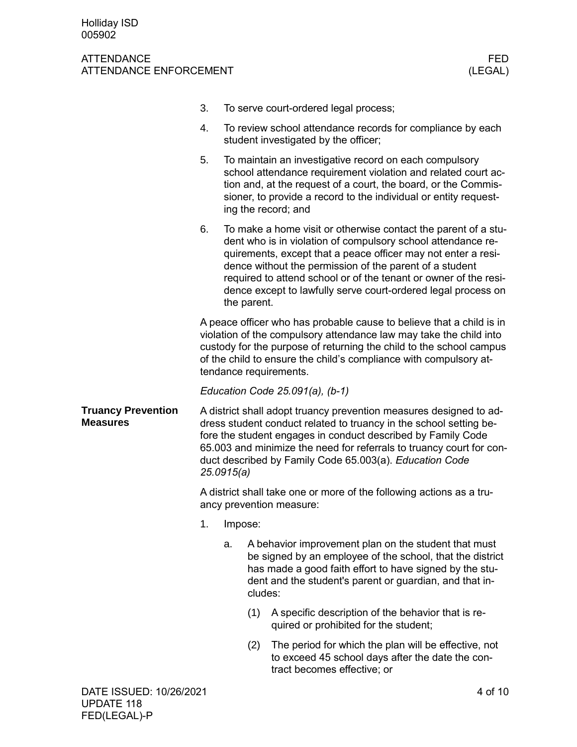|                                              | 3.                                                                                                                                                                                                                                                                                                                                                        |             |                                                                                                                                                                                                                                                    | To serve court-ordered legal process;                                                                                                                                                                                                                                                                                                                                                           |  |  |
|----------------------------------------------|-----------------------------------------------------------------------------------------------------------------------------------------------------------------------------------------------------------------------------------------------------------------------------------------------------------------------------------------------------------|-------------|----------------------------------------------------------------------------------------------------------------------------------------------------------------------------------------------------------------------------------------------------|-------------------------------------------------------------------------------------------------------------------------------------------------------------------------------------------------------------------------------------------------------------------------------------------------------------------------------------------------------------------------------------------------|--|--|
|                                              | 4.                                                                                                                                                                                                                                                                                                                                                        |             |                                                                                                                                                                                                                                                    | To review school attendance records for compliance by each<br>student investigated by the officer;                                                                                                                                                                                                                                                                                              |  |  |
|                                              | 5.                                                                                                                                                                                                                                                                                                                                                        |             |                                                                                                                                                                                                                                                    | To maintain an investigative record on each compulsory<br>school attendance requirement violation and related court ac-<br>tion and, at the request of a court, the board, or the Commis-<br>sioner, to provide a record to the individual or entity request-<br>ing the record; and                                                                                                            |  |  |
|                                              | 6.                                                                                                                                                                                                                                                                                                                                                        | the parent. |                                                                                                                                                                                                                                                    | To make a home visit or otherwise contact the parent of a stu-<br>dent who is in violation of compulsory school attendance re-<br>quirements, except that a peace officer may not enter a resi-<br>dence without the permission of the parent of a student<br>required to attend school or of the tenant or owner of the resi-<br>dence except to lawfully serve court-ordered legal process on |  |  |
|                                              | A peace officer who has probable cause to believe that a child is in<br>violation of the compulsory attendance law may take the child into<br>custody for the purpose of returning the child to the school campus<br>of the child to ensure the child's compliance with compulsory at-<br>tendance requirements.                                          |             |                                                                                                                                                                                                                                                    |                                                                                                                                                                                                                                                                                                                                                                                                 |  |  |
|                                              | Education Code $25.091(a)$ , (b-1)                                                                                                                                                                                                                                                                                                                        |             |                                                                                                                                                                                                                                                    |                                                                                                                                                                                                                                                                                                                                                                                                 |  |  |
| <b>Truancy Prevention</b><br><b>Measures</b> | A district shall adopt truancy prevention measures designed to ad-<br>dress student conduct related to truancy in the school setting be-<br>fore the student engages in conduct described by Family Code<br>65.003 and minimize the need for referrals to truancy court for con-<br>duct described by Family Code 65.003(a). Education Code<br>25.0915(a) |             |                                                                                                                                                                                                                                                    |                                                                                                                                                                                                                                                                                                                                                                                                 |  |  |
|                                              | A district shall take one or more of the following actions as a tru-<br>ancy prevention measure:                                                                                                                                                                                                                                                          |             |                                                                                                                                                                                                                                                    |                                                                                                                                                                                                                                                                                                                                                                                                 |  |  |
|                                              |                                                                                                                                                                                                                                                                                                                                                           | 1. Impose:  |                                                                                                                                                                                                                                                    |                                                                                                                                                                                                                                                                                                                                                                                                 |  |  |
|                                              |                                                                                                                                                                                                                                                                                                                                                           | a.          | A behavior improvement plan on the student that must<br>be signed by an employee of the school, that the district<br>has made a good faith effort to have signed by the stu-<br>dent and the student's parent or guardian, and that in-<br>cludes: |                                                                                                                                                                                                                                                                                                                                                                                                 |  |  |
|                                              |                                                                                                                                                                                                                                                                                                                                                           |             | (1)                                                                                                                                                                                                                                                | A specific description of the behavior that is re-<br>quired or prohibited for the student;                                                                                                                                                                                                                                                                                                     |  |  |
|                                              |                                                                                                                                                                                                                                                                                                                                                           |             | (2)                                                                                                                                                                                                                                                | The period for which the plan will be effective, not<br>to exceed 45 school days after the date the con-<br>tract becomes effective; or                                                                                                                                                                                                                                                         |  |  |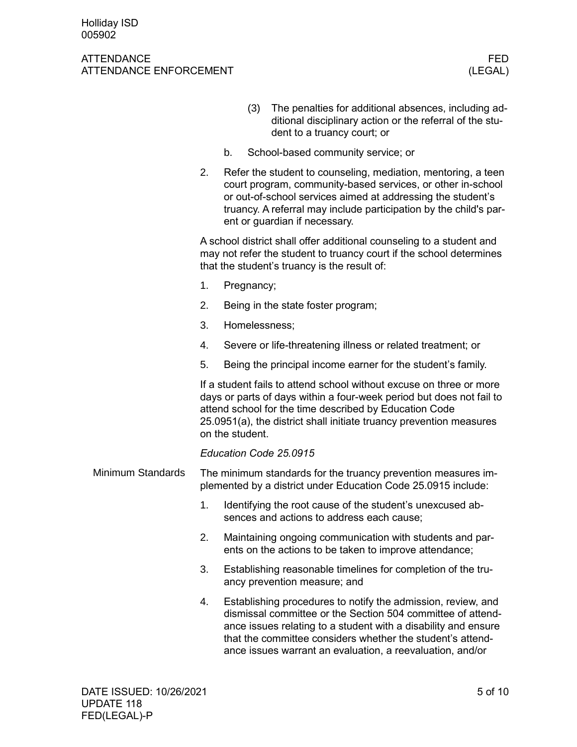|                   |                                                                                                                                |                                                                                                                                                                                                                                                                                                   | (3)                                                                                                    | The penalties for additional absences, including ad-<br>ditional disciplinary action or the referral of the stu-<br>dent to a truancy court; or                                                                                                                                                                          |  |  |  |  |  |  |
|-------------------|--------------------------------------------------------------------------------------------------------------------------------|---------------------------------------------------------------------------------------------------------------------------------------------------------------------------------------------------------------------------------------------------------------------------------------------------|--------------------------------------------------------------------------------------------------------|--------------------------------------------------------------------------------------------------------------------------------------------------------------------------------------------------------------------------------------------------------------------------------------------------------------------------|--|--|--|--|--|--|
|                   |                                                                                                                                | b.                                                                                                                                                                                                                                                                                                |                                                                                                        | School-based community service; or                                                                                                                                                                                                                                                                                       |  |  |  |  |  |  |
|                   | 2.                                                                                                                             | Refer the student to counseling, mediation, mentoring, a teen<br>court program, community-based services, or other in-school<br>or out-of-school services aimed at addressing the student's<br>truancy. A referral may include participation by the child's par-<br>ent or guardian if necessary. |                                                                                                        |                                                                                                                                                                                                                                                                                                                          |  |  |  |  |  |  |
|                   |                                                                                                                                | A school district shall offer additional counseling to a student and<br>may not refer the student to truancy court if the school determines<br>that the student's truancy is the result of:                                                                                                       |                                                                                                        |                                                                                                                                                                                                                                                                                                                          |  |  |  |  |  |  |
|                   | 1.                                                                                                                             | Pregnancy;                                                                                                                                                                                                                                                                                        |                                                                                                        |                                                                                                                                                                                                                                                                                                                          |  |  |  |  |  |  |
|                   | 2.                                                                                                                             |                                                                                                                                                                                                                                                                                                   |                                                                                                        | Being in the state foster program;                                                                                                                                                                                                                                                                                       |  |  |  |  |  |  |
|                   | 3.                                                                                                                             |                                                                                                                                                                                                                                                                                                   |                                                                                                        | Homelessness;                                                                                                                                                                                                                                                                                                            |  |  |  |  |  |  |
|                   | 4.                                                                                                                             |                                                                                                                                                                                                                                                                                                   |                                                                                                        | Severe or life-threatening illness or related treatment; or                                                                                                                                                                                                                                                              |  |  |  |  |  |  |
|                   | 5.                                                                                                                             |                                                                                                                                                                                                                                                                                                   |                                                                                                        | Being the principal income earner for the student's family.                                                                                                                                                                                                                                                              |  |  |  |  |  |  |
|                   |                                                                                                                                | on the student.                                                                                                                                                                                                                                                                                   |                                                                                                        | If a student fails to attend school without excuse on three or more<br>days or parts of days within a four-week period but does not fail to<br>attend school for the time described by Education Code<br>25.0951(a), the district shall initiate truancy prevention measures                                             |  |  |  |  |  |  |
|                   |                                                                                                                                |                                                                                                                                                                                                                                                                                                   |                                                                                                        | Education Code 25.0915                                                                                                                                                                                                                                                                                                   |  |  |  |  |  |  |
| Minimum Standards | The minimum standards for the truancy prevention measures im-<br>plemented by a district under Education Code 25.0915 include: |                                                                                                                                                                                                                                                                                                   |                                                                                                        |                                                                                                                                                                                                                                                                                                                          |  |  |  |  |  |  |
|                   | 1.                                                                                                                             |                                                                                                                                                                                                                                                                                                   | Identifying the root cause of the student's unexcused ab-<br>sences and actions to address each cause; |                                                                                                                                                                                                                                                                                                                          |  |  |  |  |  |  |
|                   | 2.                                                                                                                             |                                                                                                                                                                                                                                                                                                   |                                                                                                        | Maintaining ongoing communication with students and par-<br>ents on the actions to be taken to improve attendance;                                                                                                                                                                                                       |  |  |  |  |  |  |
|                   | 3.                                                                                                                             |                                                                                                                                                                                                                                                                                                   |                                                                                                        | Establishing reasonable timelines for completion of the tru-<br>ancy prevention measure; and                                                                                                                                                                                                                             |  |  |  |  |  |  |
|                   | 4.                                                                                                                             |                                                                                                                                                                                                                                                                                                   |                                                                                                        | Establishing procedures to notify the admission, review, and<br>dismissal committee or the Section 504 committee of attend-<br>ance issues relating to a student with a disability and ensure<br>that the committee considers whether the student's attend-<br>ance issues warrant an evaluation, a reevaluation, and/or |  |  |  |  |  |  |
|                   |                                                                                                                                |                                                                                                                                                                                                                                                                                                   |                                                                                                        |                                                                                                                                                                                                                                                                                                                          |  |  |  |  |  |  |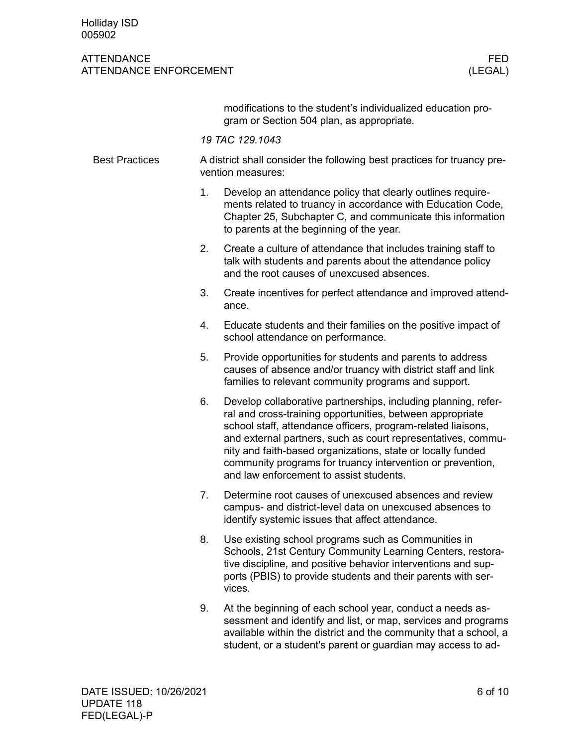### ATTENDANCE FED ATTENDANCE ENFORCEMENT (LEGAL)

modifications to the student's individualized education program or Section 504 plan, as appropriate.

*19 TAC 129.1043*

| <b>Best Practices</b> | A district shall consider the following best practices for truancy pre-<br>vention measures:                                                                                                                                                                                                                                                                                                                                              |  |  |  |  |  |  |
|-----------------------|-------------------------------------------------------------------------------------------------------------------------------------------------------------------------------------------------------------------------------------------------------------------------------------------------------------------------------------------------------------------------------------------------------------------------------------------|--|--|--|--|--|--|
|                       | 1 <sub>1</sub><br>Develop an attendance policy that clearly outlines require-<br>ments related to truancy in accordance with Education Code,<br>Chapter 25, Subchapter C, and communicate this information<br>to parents at the beginning of the year.                                                                                                                                                                                    |  |  |  |  |  |  |
|                       | 2.<br>Create a culture of attendance that includes training staff to<br>talk with students and parents about the attendance policy<br>and the root causes of unexcused absences.                                                                                                                                                                                                                                                          |  |  |  |  |  |  |
|                       | 3.<br>Create incentives for perfect attendance and improved attend-<br>ance.                                                                                                                                                                                                                                                                                                                                                              |  |  |  |  |  |  |
|                       | Educate students and their families on the positive impact of<br>4.<br>school attendance on performance.                                                                                                                                                                                                                                                                                                                                  |  |  |  |  |  |  |
|                       | 5.<br>Provide opportunities for students and parents to address<br>causes of absence and/or truancy with district staff and link<br>families to relevant community programs and support.                                                                                                                                                                                                                                                  |  |  |  |  |  |  |
|                       | Develop collaborative partnerships, including planning, refer-<br>6.<br>ral and cross-training opportunities, between appropriate<br>school staff, attendance officers, program-related liaisons,<br>and external partners, such as court representatives, commu-<br>nity and faith-based organizations, state or locally funded<br>community programs for truancy intervention or prevention,<br>and law enforcement to assist students. |  |  |  |  |  |  |
|                       | Determine root causes of unexcused absences and review<br>7.<br>campus- and district-level data on unexcused absences to<br>identify systemic issues that affect attendance.                                                                                                                                                                                                                                                              |  |  |  |  |  |  |
|                       | Use existing school programs such as Communities in<br>8.<br>Schools, 21st Century Community Learning Centers, restora-<br>tive discipline, and positive behavior interventions and sup-<br>ports (PBIS) to provide students and their parents with ser-<br>vices.                                                                                                                                                                        |  |  |  |  |  |  |
|                       | At the beginning of each school year, conduct a needs as-<br>9.<br>sessment and identify and list, or map, services and programs                                                                                                                                                                                                                                                                                                          |  |  |  |  |  |  |

sessment and identify and list, or map, services and programs available within the district and the community that a school, a student, or a student's parent or guardian may access to ad-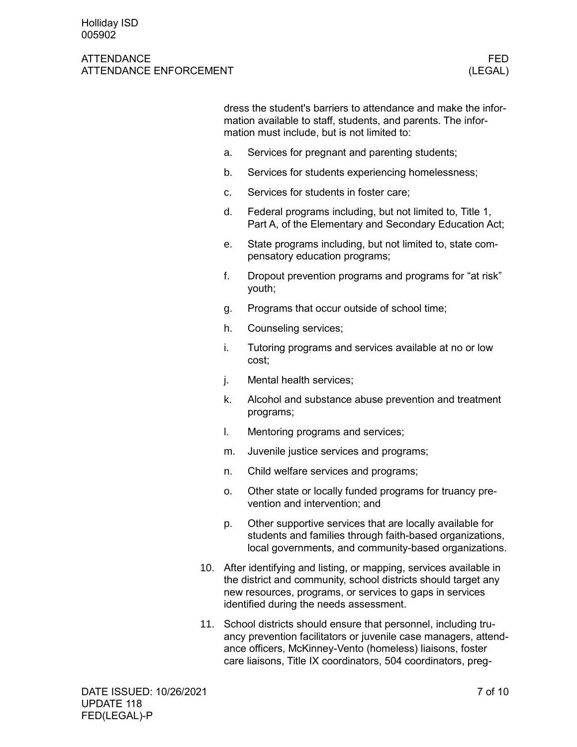### ATTENDANCE FEDERAL EXPERIMENT WAS SERVED FOR A SERVED OF THE SERVED OF THE SERVED OF THE SERVED OF THE SERVED OF THE SERVED OF THE SERVED OF THE SERVED OF THE SERVED OF THE SERVED OF THE SERVED OF THE SERVED OF THE SERVED ATTENDANCE ENFORCEMENT (LEGAL)

dress the student's barriers to attendance and make the information available to staff, students, and parents. The information must include, but is not limited to:

- a. Services for pregnant and parenting students;
- b. Services for students experiencing homelessness;
- c. Services for students in foster care;
- d. Federal programs including, but not limited to, Title 1, Part A, of the Elementary and Secondary Education Act;
- e. State programs including, but not limited to, state compensatory education programs;
- f. Dropout prevention programs and programs for "at risk" youth;
- g. Programs that occur outside of school time;
- h. Counseling services;
- i. Tutoring programs and services available at no or low cost;
- j. Mental health services;
- k. Alcohol and substance abuse prevention and treatment programs;
- l. Mentoring programs and services;
- m. Juvenile justice services and programs;
- n. Child welfare services and programs;
- o. Other state or locally funded programs for truancy prevention and intervention; and
- p. Other supportive services that are locally available for students and families through faith-based organizations, local governments, and community-based organizations.
- 10. After identifying and listing, or mapping, services available in the district and community, school districts should target any new resources, programs, or services to gaps in services identified during the needs assessment.
- 11. School districts should ensure that personnel, including truancy prevention facilitators or juvenile case managers, attendance officers, McKinney-Vento (homeless) liaisons, foster care liaisons, Title IX coordinators, 504 coordinators, preg-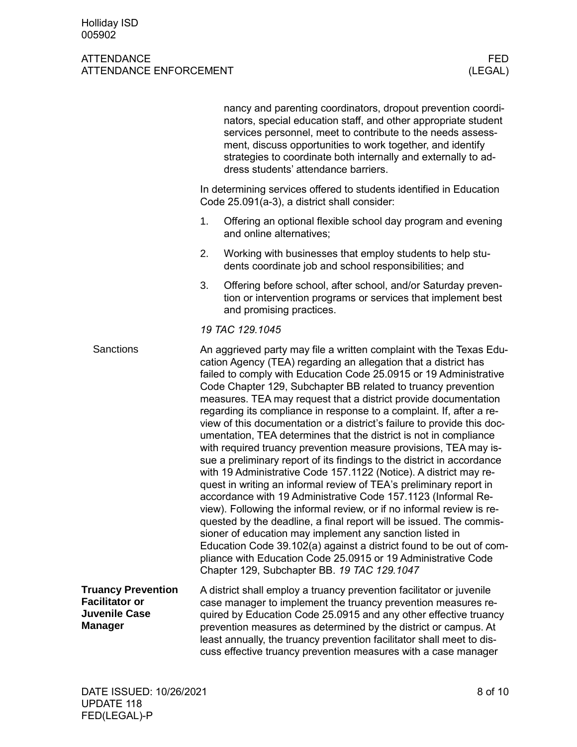|                                                                                              |                                                                                                                                                                                                                                                                                                                                                                                                                                                                                                                                                                                                                                                                                                                                                                                                                                                                                                                                                                                                                                                                                                                                                                                                                                                                                                                                                         | nancy and parenting coordinators, dropout prevention coordi-<br>nators, special education staff, and other appropriate student<br>services personnel, meet to contribute to the needs assess-<br>ment, discuss opportunities to work together, and identify<br>strategies to coordinate both internally and externally to ad-<br>dress students' attendance barriers.                                                   |  |  |  |
|----------------------------------------------------------------------------------------------|---------------------------------------------------------------------------------------------------------------------------------------------------------------------------------------------------------------------------------------------------------------------------------------------------------------------------------------------------------------------------------------------------------------------------------------------------------------------------------------------------------------------------------------------------------------------------------------------------------------------------------------------------------------------------------------------------------------------------------------------------------------------------------------------------------------------------------------------------------------------------------------------------------------------------------------------------------------------------------------------------------------------------------------------------------------------------------------------------------------------------------------------------------------------------------------------------------------------------------------------------------------------------------------------------------------------------------------------------------|-------------------------------------------------------------------------------------------------------------------------------------------------------------------------------------------------------------------------------------------------------------------------------------------------------------------------------------------------------------------------------------------------------------------------|--|--|--|
|                                                                                              | In determining services offered to students identified in Education<br>Code 25.091(a-3), a district shall consider:                                                                                                                                                                                                                                                                                                                                                                                                                                                                                                                                                                                                                                                                                                                                                                                                                                                                                                                                                                                                                                                                                                                                                                                                                                     |                                                                                                                                                                                                                                                                                                                                                                                                                         |  |  |  |
|                                                                                              | 1.                                                                                                                                                                                                                                                                                                                                                                                                                                                                                                                                                                                                                                                                                                                                                                                                                                                                                                                                                                                                                                                                                                                                                                                                                                                                                                                                                      | Offering an optional flexible school day program and evening<br>and online alternatives;                                                                                                                                                                                                                                                                                                                                |  |  |  |
|                                                                                              | 2.                                                                                                                                                                                                                                                                                                                                                                                                                                                                                                                                                                                                                                                                                                                                                                                                                                                                                                                                                                                                                                                                                                                                                                                                                                                                                                                                                      | Working with businesses that employ students to help stu-<br>dents coordinate job and school responsibilities; and                                                                                                                                                                                                                                                                                                      |  |  |  |
|                                                                                              | 3.                                                                                                                                                                                                                                                                                                                                                                                                                                                                                                                                                                                                                                                                                                                                                                                                                                                                                                                                                                                                                                                                                                                                                                                                                                                                                                                                                      | Offering before school, after school, and/or Saturday preven-<br>tion or intervention programs or services that implement best<br>and promising practices.                                                                                                                                                                                                                                                              |  |  |  |
|                                                                                              |                                                                                                                                                                                                                                                                                                                                                                                                                                                                                                                                                                                                                                                                                                                                                                                                                                                                                                                                                                                                                                                                                                                                                                                                                                                                                                                                                         |                                                                                                                                                                                                                                                                                                                                                                                                                         |  |  |  |
| <b>Sanctions</b>                                                                             | 19 TAC 129.1045<br>An aggrieved party may file a written complaint with the Texas Edu-<br>cation Agency (TEA) regarding an allegation that a district has<br>failed to comply with Education Code 25.0915 or 19 Administrative<br>Code Chapter 129, Subchapter BB related to truancy prevention<br>measures. TEA may request that a district provide documentation<br>regarding its compliance in response to a complaint. If, after a re-<br>view of this documentation or a district's failure to provide this doc-<br>umentation, TEA determines that the district is not in compliance<br>with required truancy prevention measure provisions, TEA may is-<br>sue a preliminary report of its findings to the district in accordance<br>with 19 Administrative Code 157.1122 (Notice). A district may re-<br>quest in writing an informal review of TEA's preliminary report in<br>accordance with 19 Administrative Code 157.1123 (Informal Re-<br>view). Following the informal review, or if no informal review is re-<br>quested by the deadline, a final report will be issued. The commis-<br>sioner of education may implement any sanction listed in<br>Education Code 39.102(a) against a district found to be out of com-<br>pliance with Education Code 25.0915 or 19 Administrative Code<br>Chapter 129, Subchapter BB. 19 TAC 129.1047 |                                                                                                                                                                                                                                                                                                                                                                                                                         |  |  |  |
| <b>Truancy Prevention</b><br><b>Facilitator or</b><br><b>Juvenile Case</b><br><b>Manager</b> |                                                                                                                                                                                                                                                                                                                                                                                                                                                                                                                                                                                                                                                                                                                                                                                                                                                                                                                                                                                                                                                                                                                                                                                                                                                                                                                                                         | A district shall employ a truancy prevention facilitator or juvenile<br>case manager to implement the truancy prevention measures re-<br>quired by Education Code 25.0915 and any other effective truancy<br>prevention measures as determined by the district or campus. At<br>least annually, the truancy prevention facilitator shall meet to dis-<br>cuss effective truancy prevention measures with a case manager |  |  |  |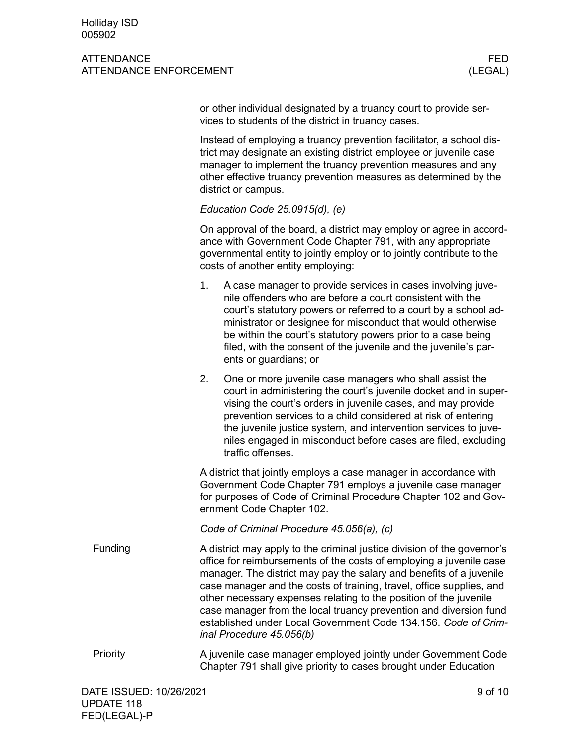### ATTENDANCE FEDERAL EXPERIMENT WAS SERVED FOR A SERVED OF THE SERVED OF THE SERVED OF THE SERVED OF THE SERVED OF THE SERVED OF THE SERVED OF THE SERVED OF THE SERVED OF THE SERVED OF THE SERVED OF THE SERVED OF THE SERVED ATTENDANCE ENFORCEMENT **ATTENDANCE** CHECKLINE

or other individual designated by a truancy court to provide services to students of the district in truancy cases.

Instead of employing a truancy prevention facilitator, a school district may designate an existing district employee or juvenile case manager to implement the truancy prevention measures and any other effective truancy prevention measures as determined by the district or campus.

### *Education Code 25.0915(d), (e)*

On approval of the board, a district may employ or agree in accordance with Government Code Chapter 791, with any appropriate governmental entity to jointly employ or to jointly contribute to the costs of another entity employing:

- 1. A case manager to provide services in cases involving juvenile offenders who are before a court consistent with the court's statutory powers or referred to a court by a school administrator or designee for misconduct that would otherwise be within the court's statutory powers prior to a case being filed, with the consent of the juvenile and the juvenile's parents or guardians; or
- 2. One or more juvenile case managers who shall assist the court in administering the court's juvenile docket and in supervising the court's orders in juvenile cases, and may provide prevention services to a child considered at risk of entering the juvenile justice system, and intervention services to juveniles engaged in misconduct before cases are filed, excluding traffic offenses.

A district that jointly employs a case manager in accordance with Government Code Chapter 791 employs a juvenile case manager for purposes of Code of Criminal Procedure Chapter 102 and Government Code Chapter 102.

*Code of Criminal Procedure 45.056(a), (c)*

- A district may apply to the criminal justice division of the governor's office for reimbursements of the costs of employing a juvenile case manager. The district may pay the salary and benefits of a juvenile case manager and the costs of training, travel, office supplies, and other necessary expenses relating to the position of the juvenile case manager from the local truancy prevention and diversion fund established under Local Government Code 134.156. *Code of Criminal Procedure 45.056(b)* Funding
- A juvenile case manager employed jointly under Government Code Chapter 791 shall give priority to cases brought under Education Priority